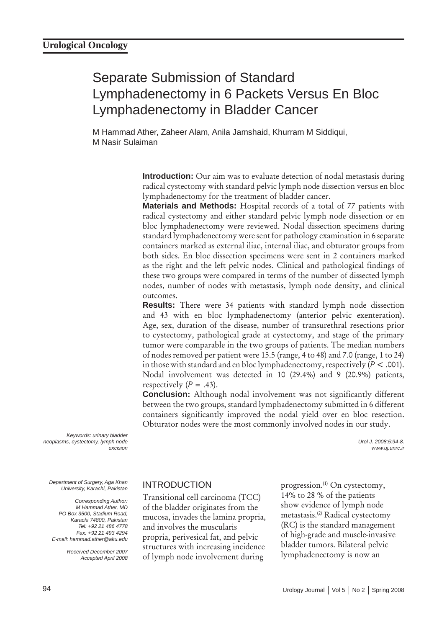# Separate Submission of Standard Lymphadenectomy in 6 Packets Versus En Bloc Lymphadenectomy in Bladder Cancer

M Hammad Ather, Zaheer Alam, Anila Jamshaid, Khurram M Siddiqui, M Nasir Sulaiman

> **Introduction:** Our aim was to evaluate detection of nodal metastasis during radical cystectomy with standard pelvic lymph node dissection versus en bloc lymphadenectomy for the treatment of bladder cancer.

> **Materials and Methods:** Hospital records of a total of 77 patients with radical cystectomy and either standard pelvic lymph node dissection or en bloc lymphadenectomy were reviewed. Nodal dissection specimens during standard lymphadenectomy were sent for pathology examination in 6 separate containers marked as external iliac, internal iliac, and obturator groups from both sides. En bloc dissection specimens were sent in 2 containers marked as the right and the left pelvic nodes. Clinical and pathological findings of these two groups were compared in terms of the number of dissected lymph nodes, number of nodes with metastasis, lymph node density, and clinical outcomes.

> **Results:** There were 34 patients with standard lymph node dissection and 43 with en bloc lymphadenectomy (anterior pelvic exenteration). Age, sex, duration of the disease, number of transurethral resections prior to cystectomy, pathological grade at cystectomy, and stage of the primary tumor were comparable in the two groups of patients. The median numbers of nodes removed per patient were 15.5 (range, 4 to 48) and 7.0 (range, 1 to 24) in those with standard and en bloc lymphadenectomy, respectively (*P* < .001). Nodal involvement was detected in 10 (29.4%) and 9 (20.9%) patients, respectively  $(P = .43)$ .

> **Conclusion:** Although nodal involvement was not significantly different between the two groups, standard lymphadenectomy submitted in 6 different containers significantly improved the nodal yield over en bloc resection. Obturator nodes were the most commonly involved nodes in our study.

> > *Urol J. 2008;5:94-8. www.uj.unrc.ir*

*Keywords: urinary bladder neoplasms, cystectomy, lymph node excision*

*Department of Surgery, Aga Khan University, Karachi, Pakistan*

*Corresponding Author: M Hammad Ather, MD PO Box 3500, Stadium Road, Karachi 74800, Pakistan Tel: +92 21 486 4778 Fax: +92 21 493 4294 E-mail: hammad.ather@aku.edu*

> *Received December 2007 Accepted April 2008*

### INTRODUCTION

Transitional cell carcinoma (TCC) of the bladder originates from the mucosa, invades the lamina propria, and involves the muscularis propria, perivesical fat, and pelvic structures with increasing incidence of lymph node involvement during

progression.<sup>(1)</sup> On cystectomy, 14% to 28 % of the patients show evidence of lymph node metastasis.(2) Radical cystectomy (RC) is the standard management of high-grade and muscle-invasive bladder tumors. Bilateral pelvic lymphadenectomy is now an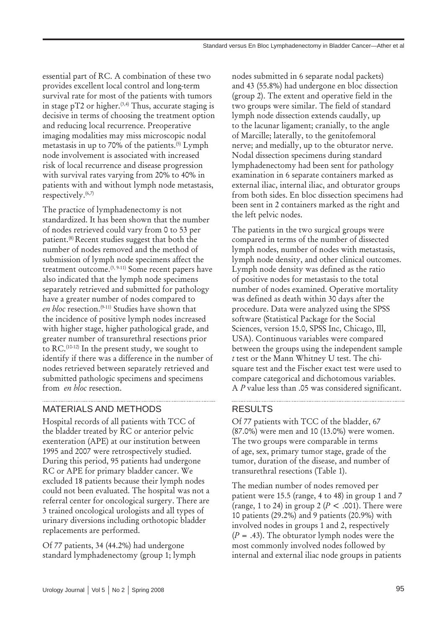essential part of RC. A combination of these two provides excellent local control and long-term survival rate for most of the patients with tumors in stage  $pT2$  or higher.<sup>(3,4)</sup> Thus, accurate staging is decisive in terms of choosing the treatment option and reducing local recurrence. Preoperative imaging modalities may miss microscopic nodal metastasis in up to 70% of the patients.<sup>(5)</sup> Lymph node involvement is associated with increased risk of local recurrence and disease progression with survival rates varying from 20% to 40% in patients with and without lymph node metastasis, respectively.(6,7)

The practice of lymphadenectomy is not standardized. It has been shown that the number of nodes retrieved could vary from 0 to 53 per patient.(8) Recent studies suggest that both the number of nodes removed and the method of submission of lymph node specimens affect the treatment outcome.(3, 9-11) Some recent papers have also indicated that the lymph node specimens separately retrieved and submitted for pathology have a greater number of nodes compared to en bloc resection.<sup>(9-11)</sup> Studies have shown that the incidence of positive lymph nodes increased with higher stage, higher pathological grade, and greater number of transurethral resections prior to RC.<sup>(10-12)</sup> In the present study, we sought to identify if there was a difference in the number of nodes retrieved between separately retrieved and submitted pathologic specimens and specimens from *en bloc* resection.

# MATERIALS AND METHODS

Hospital records of all patients with TCC of the bladder treated by RC or anterior pelvic exenteration (APE) at our institution between 1995 and 2007 were retrospectively studied. During this period, 95 patients had undergone RC or APE for primary bladder cancer. We excluded 18 patients because their lymph nodes could not been evaluated. The hospital was not a referral center for oncological surgery. There are 3 trained oncological urologists and all types of urinary diversions including orthotopic bladder replacements are performed.

Of 77 patients, 34 (44.2%) had undergone standard lymphadenectomy (group 1; lymph

nodes submitted in 6 separate nodal packets) and 43 (55.8%) had undergone en bloc dissection (group 2). The extent and operative field in the two groups were similar. The field of standard lymph node dissection extends caudally, up to the lacunar ligament; cranially, to the angle of Marcille; laterally, to the genitofemoral nerve; and medially, up to the obturator nerve. Nodal dissection specimens during standard lymphadenectomy had been sent for pathology examination in 6 separate containers marked as external iliac, internal iliac, and obturator groups from both sides. En bloc dissection specimens had been sent in 2 containers marked as the right and the left pelvic nodes.

The patients in the two surgical groups were compared in terms of the number of dissected lymph nodes, number of nodes with metastasis, lymph node density, and other clinical outcomes. Lymph node density was defined as the ratio of positive nodes for metastasis to the total number of nodes examined. Operative mortality was defined as death within 30 days after the procedure. Data were analyzed using the SPSS software (Statistical Package for the Social Sciences, version 15.0, SPSS Inc, Chicago, Ill, USA). Continuous variables were compared between the groups using the independent sample *t* test or the Mann Whitney U test. The chisquare test and the Fischer exact test were used to compare categorical and dichotomous variables. A *P* value less than .05 was considered significant.

# RESULTS

Of 77 patients with TCC of the bladder, 67 (87.0%) were men and 10 (13.0%) were women. The two groups were comparable in terms of age, sex, primary tumor stage, grade of the tumor, duration of the disease, and number of transurethral resections (Table 1).

The median number of nodes removed per patient were 15.5 (range, 4 to 48) in group 1 and 7 (range, 1 to 24) in group 2 (*P* < .001). There were 10 patients (29.2%) and 9 patients (20.9%) with involved nodes in groups 1 and 2, respectively (*P* = .43). The obturator lymph nodes were the most commonly involved nodes followed by internal and external iliac node groups in patients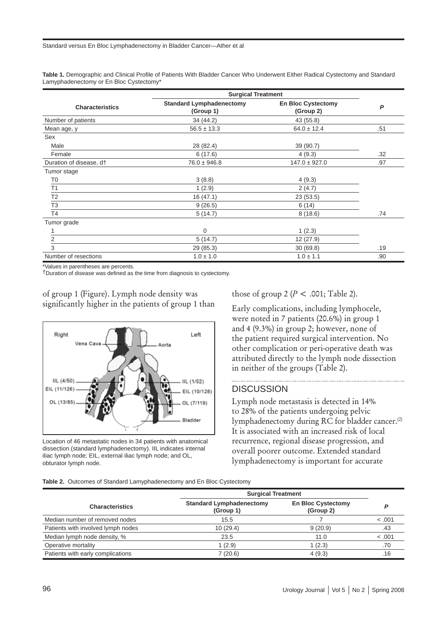**Table 1.** Demographic and Clinical Profile of Patients With Bladder Cancer Who Underwent Either Radical Cystectomy and Standard Lamyphadenectomy or En Bloc Cystectomy\*

|                                     | <b>Surgical Treatment</b>                    |                                        |     |
|-------------------------------------|----------------------------------------------|----------------------------------------|-----|
| <b>Characteristics</b>              | <b>Standard Lymphadenectomy</b><br>(Group 1) | <b>En Bloc Cystectomy</b><br>(Group 2) | P   |
| Number of patients                  | 34 (44.2)                                    | 43 (55.8)                              |     |
| Mean age, y                         | $56.5 \pm 13.3$                              | $64.0 \pm 12.4$                        | .51 |
| Sex                                 |                                              |                                        |     |
| Male                                | 28 (82.4)                                    | 39 (90.7)                              |     |
| Female                              | 6(17.6)                                      | 4(9.3)                                 | .32 |
| Duration of disease, d <sup>+</sup> | $76.0 \pm 946.8$                             | $147.0 \pm 927.0$                      | .97 |
| Tumor stage                         |                                              |                                        |     |
| T <sub>0</sub>                      | 3(8.8)                                       | 4(9.3)                                 |     |
| T1                                  | 1(2.9)                                       | 2(4.7)                                 |     |
| T <sub>2</sub>                      | 16(47.1)                                     | 23(53.5)                               |     |
| T <sub>3</sub>                      | 9(26.5)                                      | 6(14)                                  |     |
| T <sub>4</sub>                      | 5(14.7)                                      | 8(18.6)                                | .74 |
| Tumor grade                         |                                              |                                        |     |
|                                     | 0                                            | 1(2.3)                                 |     |
| 2                                   | 5(14.7)                                      | 12 (27.9)                              |     |
| 3                                   | 29 (85.3)                                    | 30(69.8)                               | .19 |
| Number of resections                | $1.0 \pm 1.0$                                | $1.0 \pm 1.1$                          | .90 |

\*Values in parentheses are percents.

†Duration of disease was defined as the time from diagnosis to cystectomy.



of group 1 (Figure). Lymph node density was significantly higher in the patients of group 1 than

Location of 46 metastatic nodes in 34 patients with anatomical dissection (standard lymphadenectomy). IIL indicates internal iliac lymph node; EIL, external iliac lymph node; and OL, obturator lymph node.

those of group 2 (*P* < .001; Table 2).

Early complications, including lymphocele, were noted in 7 patients (20.6%) in group 1 and 4 (9.3%) in group 2; however, none of the patient required surgical intervention. No other complication or peri-operative death was attributed directly to the lymph node dissection in neither of the groups (Table 2).

#### **DISCUSSION**

Lymph node metastasis is detected in 14% to 28% of the patients undergoing pelvic lymphadenectomy during RC for bladder cancer.<sup>(2)</sup> It is associated with an increased risk of local recurrence, regional disease progression, and overall poorer outcome. Extended standard lymphadenectomy is important for accurate

**Table 2.** Outcomes of Standard Lamyphadenectomy and En Bloc Cystectomy

|                                    | <b>Surgical Treatment</b>                    |                                        |         |
|------------------------------------|----------------------------------------------|----------------------------------------|---------|
| <b>Characteristics</b>             | <b>Standard Lymphadenectomy</b><br>(Group 1) | <b>En Bloc Cystectomy</b><br>(Group 2) |         |
| Median number of removed nodes     | 15.5                                         |                                        | < .001  |
| Patients with involved lymph nodes | 10(29.4)                                     | 9(20.9)                                | .43     |
| Median lymph node density, %       | 23.5                                         | 11.0                                   | < 0.001 |
| Operative mortality                | 1(2.9)                                       | 1(2.3)                                 | .70     |
| Patients with early complications  | 7(20.6)                                      | 4(9.3)                                 | .16     |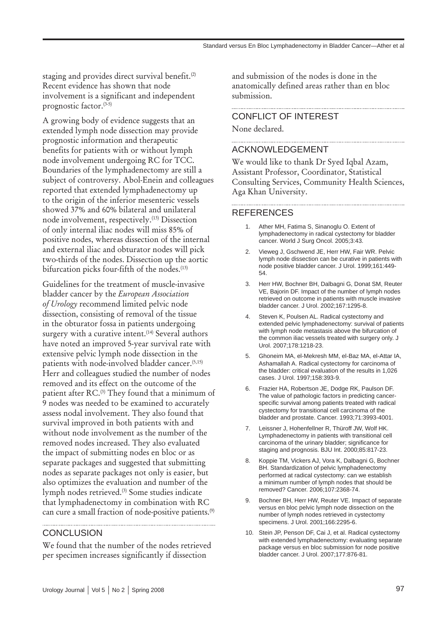staging and provides direct survival benefit.<sup>(2)</sup> Recent evidence has shown that node involvement is a significant and independent prognostic factor.(3-5)

A growing body of evidence suggests that an extended lymph node dissection may provide prognostic information and therapeutic benefits for patients with or without lymph node involvement undergoing RC for TCC. Boundaries of the lymphadenectomy are still a subject of controversy. Abol-Enein and colleagues reported that extended lymphadenectomy up to the origin of the inferior mesenteric vessels showed 37% and 60% bilateral and unilateral node involvement, respectively.(13) Dissection of only internal iliac nodes will miss 85% of positive nodes, whereas dissection of the internal and external iliac and obturator nodes will pick two-thirds of the nodes. Dissection up the aortic bifurcation picks four-fifth of the nodes.<sup>(13)</sup>

Guidelines for the treatment of muscle-invasive bladder cancer by the *European Association of Urology* recommend limited pelvic node dissection, consisting of removal of the tissue in the obturator fossa in patients undergoing surgery with a curative intent. $(14)$  Several authors have noted an improved 5-year survival rate with extensive pelvic lymph node dissection in the patients with node-involved bladder cancer.(5,15) Herr and colleagues studied the number of nodes removed and its effect on the outcome of the patient after RC.<sup>(3)</sup> They found that a minimum of 9 nodes was needed to be examined to accurately assess nodal involvement. They also found that survival improved in both patients with and without node involvement as the number of the removed nodes increased. They also evaluated the impact of submitting nodes en bloc or as separate packages and suggested that submitting nodes as separate packages not only is easier, but also optimizes the evaluation and number of the lymph nodes retrieved.(3) Some studies indicate that lymphadenectomy in combination with RC can cure a small fraction of node-positive patients.(9)

#### **CONCLUSION**

We found that the number of the nodes retrieved per specimen increases significantly if dissection

and submission of the nodes is done in the anatomically defined areas rather than en bloc submission.

## CONFLICT OF INTEREST

None declared.

#### ACKNOWLEDGEMENT

We would like to thank Dr Syed Iqbal Azam, Assistant Professor, Coordinator, Statistical Consulting Services, Community Health Sciences, Aga Khan University.

#### REFERENCES

1. Ather MH, Fatima S, Sinanoglu O. Extent of lymphadenectomy in radical cystectomy for bladder cancer. World J Surg Oncol. 2005;3:43.

- 2. Vieweg J, Gschwend JE, Herr HW, Fair WR. Pelvic lymph node dissection can be curative in patients with node positive bladder cancer. J Urol. 1999;161:449- 54.
- 3. Herr HW, Bochner BH, Dalbagni G, Donat SM, Reuter VE, Bajorin DF. Impact of the number of lymph nodes retrieved on outcome in patients with muscle invasive bladder cancer. J Urol. 2002;167:1295-8.
- 4. Steven K, Poulsen AL. Radical cystectomy and extended pelvic lymphadenectomy: survival of patients with lymph node metastasis above the bifurcation of the common iliac vessels treated with surgery only. J Urol. 2007;178:1218-23.
- 5. Ghoneim MA, el-Mekresh MM, el-Baz MA, el-Attar IA, Ashamallah A. Radical cystectomy for carcinoma of the bladder: critical evaluation of the results in 1,026 cases. J Urol. 1997;158:393-9.
- 6. Frazier HA, Robertson JE, Dodge RK, Paulson DF. The value of pathologic factors in predicting cancerspecific survival among patients treated with radical cystectomy for transitional cell carcinoma of the bladder and prostate. Cancer. 1993;71:3993-4001.
- 7. Leissner J, Hohenfellner R, Thüroff JW, Wolf HK. Lymphadenectomy in patients with transitional cell carcinoma of the urinary bladder; significance for staging and prognosis. BJU Int. 2000;85:817-23.
- 8. Koppie TM, Vickers AJ, Vora K, Dalbagni G, Bochner BH. Standardization of pelvic lymphadenectomy performed at radical cystectomy: can we establish a minimum number of lymph nodes that should be removed? Cancer. 2006;107:2368-74.
- 9. Bochner BH, Herr HW, Reuter VE. Impact of separate versus en bloc pelvic lymph node dissection on the number of lymph nodes retrieved in cystectomy specimens. J Urol. 2001;166:2295-6.
- 10. Stein JP, Penson DF, Cai J, et al. Radical cystectomy with extended lymphadenectomy: evaluating separate package versus en bloc submission for node positive bladder cancer. J Urol. 2007;177:876-81.